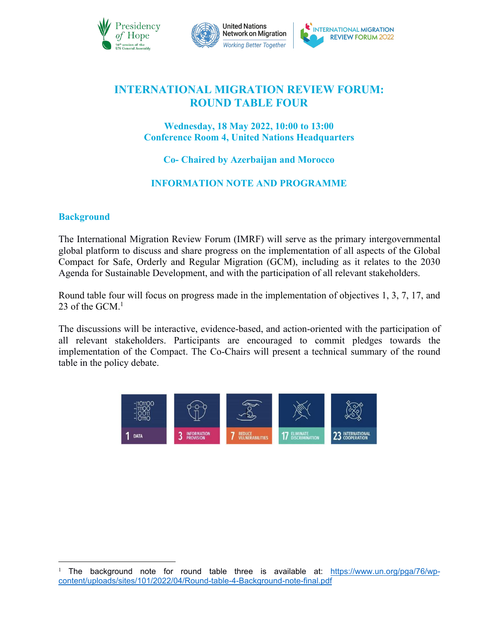



# **INTERNATIONAL MIGRATION REVIEW FORUM: ROUND TABLE FOUR**

## **Wednesday, 18 May 2022, 10:00 to 13:00 Conference Room 4, United Nations Headquarters**

**Co- Chaired by Azerbaijan and Morocco**

## **INFORMATION NOTE AND PROGRAMME**

## **Background**

The International Migration Review Forum (IMRF) will serve as the primary intergovernmental global platform to discuss and share progress on the implementation of all aspects of the Global Compact for Safe, Orderly and Regular Migration (GCM), including as it relates to the 2030 Agenda for Sustainable Development, and with the participation of all relevant stakeholders.

Round table four will focus on progress made in the implementation of objectives 1, 3, 7, 17, and 23 of the  $GCM$ <sup>[1](#page-0-0)</sup>

The discussions will be interactive, evidence-based, and action-oriented with the participation of all relevant stakeholders. Participants are encouraged to commit pledges towards the implementation of the Compact. The Co-Chairs will present a technical summary of the round table in the policy debate.



<span id="page-0-0"></span><sup>&</sup>lt;sup>1</sup> The background note for round table three is available at: [https://www.un.org/pga/76/wp](https://www.un.org/pga/76/wp-content/uploads/sites/101/2022/04/Round-table-4-Background-note-final.pdf) content/uploads/sites/101/2022/04/Round-table-4-Background-note-final.pdf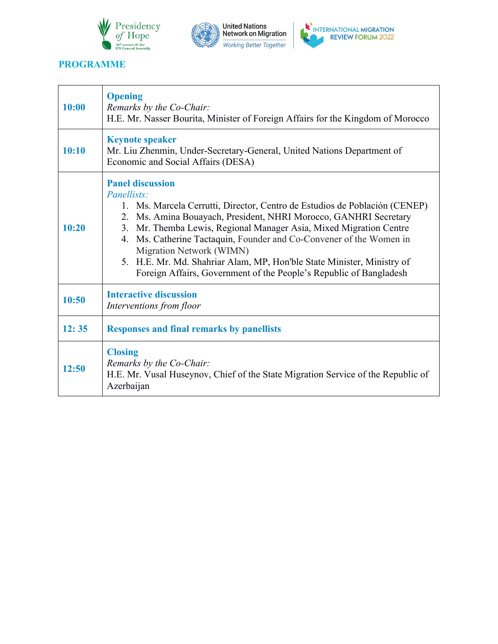





## **PROGRAMME**

| 10:00 | <b>Opening</b><br>Remarks by the Co-Chair:<br>H.E. Mr. Nasser Bourita, Minister of Foreign Affairs for the Kingdom of Morocco                                                                                                                                                                                                                                                                                                                                                                                                |  |
|-------|------------------------------------------------------------------------------------------------------------------------------------------------------------------------------------------------------------------------------------------------------------------------------------------------------------------------------------------------------------------------------------------------------------------------------------------------------------------------------------------------------------------------------|--|
| 10:10 | <b>Keynote speaker</b><br>Mr. Liu Zhenmin, Under-Secretary-General, United Nations Department of<br>Economic and Social Affairs (DESA)                                                                                                                                                                                                                                                                                                                                                                                       |  |
| 10:20 | <b>Panel discussion</b><br>Panellists:<br>1. Ms. Marcela Cerrutti, Director, Centro de Estudios de Población (CENEP)<br>Ms. Amina Bouayach, President, NHRI Morocco, GANHRI Secretary<br>$2_{1}$<br>3. Mr. Themba Lewis, Regional Manager Asia, Mixed Migration Centre<br>Ms. Catherine Tactaquin, Founder and Co-Convener of the Women in<br>4.<br>Migration Network (WIMN)<br>5. H.E. Mr. Md. Shahriar Alam, MP, Hon'ble State Minister, Ministry of<br>Foreign Affairs, Government of the People's Republic of Bangladesh |  |
| 10:50 | <b>Interactive discussion</b><br>Interventions from floor                                                                                                                                                                                                                                                                                                                                                                                                                                                                    |  |
| 12:35 | <b>Responses and final remarks by panellists</b>                                                                                                                                                                                                                                                                                                                                                                                                                                                                             |  |
| 12:50 | <b>Closing</b><br>Remarks by the Co-Chair:<br>H.E. Mr. Vusal Huseynov, Chief of the State Migration Service of the Republic of<br>Azerbaijan                                                                                                                                                                                                                                                                                                                                                                                 |  |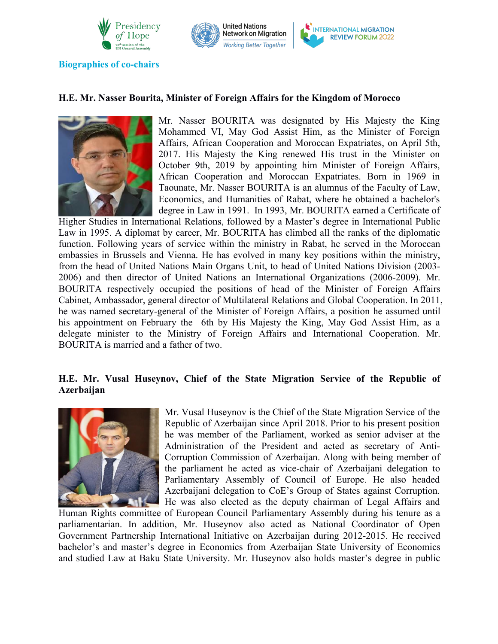



**Biographies** of co-chairs

#### **H.E. Mr. Nasser Bourita, Minister of Foreign Affairs for the Kingdom of Morocco**



Mr. Nasser BOURITA was designated by His Majesty the King Mohammed VI, May God Assist Him, as the Minister of Foreign Affairs, African Cooperation and Moroccan Expatriates, on April 5th, 2017. His Majesty the King renewed His trust in the Minister on October 9th, 2019 by appointing him Minister of Foreign Affairs, African Cooperation and Moroccan Expatriates. Born in 1969 in Taounate, Mr. Nasser BOURITA is an alumnus of the Faculty of Law, Economics, and Humanities of Rabat, where he obtained a bachelor's degree in Law in 1991. In 1993, Mr. BOURITA earned a Certificate of

Higher Studies in International Relations, followed by a Master's degree in International Public Law in 1995. A diplomat by career, Mr. BOURITA has climbed all the ranks of the diplomatic function. Following years of service within the ministry in Rabat, he served in the Moroccan embassies in Brussels and Vienna. He has evolved in many key positions within the ministry, from the head of United Nations Main Organs Unit, to head of United Nations Division (2003- 2006) and then director of United Nations an International Organizations (2006-2009). Mr. BOURITA respectively occupied the positions of head of the Minister of Foreign Affairs Cabinet, Ambassador, general director of Multilateral Relations and Global Cooperation. In 2011, he was named secretary-general of the Minister of Foreign Affairs, a position he assumed until his appointment on February the 6th by His Majesty the King, May God Assist Him, as a delegate minister to the Ministry of Foreign Affairs and International Cooperation. Mr. BOURITA is married and a father of two.

## **H.E. Mr. Vusal Huseynov, Chief of the State Migration Service of the Republic of Azerbaijan**



Mr. Vusal Huseynov is the Chief of the State Migration Service of the Republic of Azerbaijan since April 2018. Prior to his present position he was member of the Parliament, worked as senior adviser at the Administration of the President and acted as secretary of Anti- Corruption Commission of Azerbaijan. Along with being member of the parliament he acted as vice-chair of Azerbaijani delegation to Parliamentary Assembly of Council of Europe. He also headed Azerbaijani delegation to CoE's Group of States against Corruption. He was also elected as the deputy chairman of Legal Affairs and

Human Rights committee of European Council Parliamentary Assembly during his tenure as a parliamentarian. In addition, Mr. Huseynov also acted as National Coordinator of Open Government Partnership International Initiative on Azerbaijan during 2012-2015. He received bachelor's and master's degree in Economics from Azerbaijan State University of Economics and studied Law at Baku State University. Mr. Huseynov also holds master's degree in public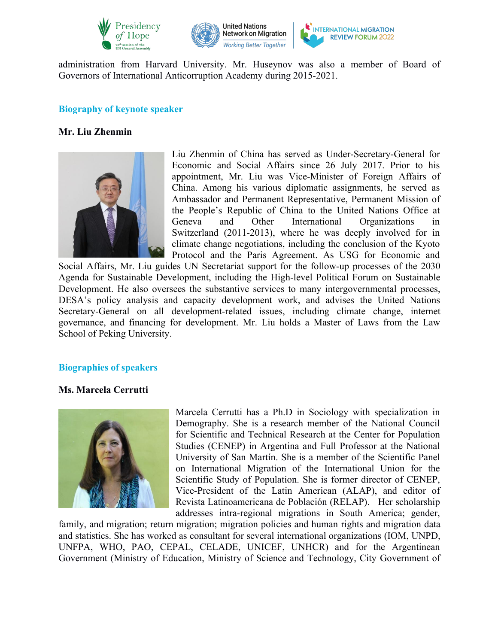



administration from Harvard University. Mr. Huseynov wasalso a member of Board of Governors of International Anticorruption Academy during 2015-2021.

#### **Biography of keynote speaker**

#### **Mr. Liu Zhenmin**



Liu Zhenmin of China has served as Under-Secretary-General for Economic and Social Affairs since 26 July 2017. Prior to his appointment, Mr. Liu was Vice-Minister of Foreign Affairs of China. Among his various diplomatic assignments, he served as Ambassador and Permanent Representative, Permanent Mission of the People's Republic of China to the United Nations Office at Geneva and Other International Organizations in Switzerland (2011-2013), where he was deeply involved for in climate change negotiations, including the conclusion of the Kyoto Protocol and the Paris Agreement. As USG for Economic and

Social Affairs, Mr. Liu guides UN Secretariat support for the follow-up processes of the 2030 Agenda for Sustainable Development, including the High-level Political Forum on Sustainable Development. He also oversees the substantive services to many intergovernmental processes, DESA's policy analysis and capacity development work, and advises the United Nations Secretary-General on all development-related issues, including climate change, internet governance, and financing for development. Mr. Liu holds a Master of Laws from the Law School of Peking University.

#### **Biographies** of speakers

#### **Ms. Marcela Cerrutti**



Marcela Cerrutti has a Ph.D in Sociology with specialization in Demography. She is a research member of the National Council for Scientific and Technical Research at the Center for Population Studies (CENEP) in Argentina and Full Professor at the National University of San Martín. She is a member of the Scientific Panel on International Migration of the International Union for the Scientific Study of Population. She is former director of CENEP, Vice-President of the Latin American (ALAP), and editor of Revista Latinoamericana de Población (RELAP). Her scholarship addresses intra-regional migrations in South America; gender,

family, and migration; return migration; migration policies and human rights and migration data and statistics. She has worked as consultant for several international organizations (IOM, UNPD, UNFPA, WHO, PAO, CEPAL, CELADE, UNICEF, UNHCR) and for the Argentinean Government (Ministry of Education, Ministry of Science and Technology, City Government of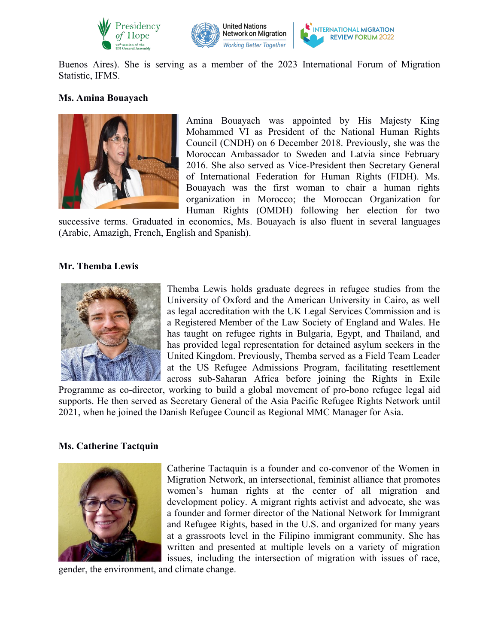



Buenos Aires). She is serving as a member of the 2023 International Forum of Migration Statistic, IFMS.

#### **Ms. Amina Bouayach**



Amina Bouayach was appointed by His Majesty King Mohammed VI as President of the National Human Rights Council (CNDH) on 6 December 2018. Previously, she was the Moroccan Ambassador to Sweden and Latvia since February 2016. She also served as Vice-President then Secretary General of International Federation for Human Rights (FIDH). Ms. Bouayach was the first woman to chair a human rights organization in Morocco; the Moroccan Organization for Human Rights (OMDH) following her election for two

successive terms. Graduated in economics, Ms. Bouayach is also fluent in several languages (Arabic, Amazigh, French, English and Spanish).

#### **Mr. Themba Lewis**



Themba Lewis holds graduate degrees in refugee studies from the University of Oxford and the American University in Cairo, as well as legal accreditation with the UK Legal Services Commission and is a Registered Member of the Law Society of England and Wales. He has taught on refugee rights in Bulgaria, Egypt, and Thailand, and has provided legal representation for detained asylum seekers in the United Kingdom. Previously, Themba served as a Field Team Leader at the US Refugee Admissions Program, facilitating resettlement across sub-Saharan Africa before joining the Rights in Exile

Programme as co-director, working to build a global movement of pro-bono refugee legal aid supports. He then served as Secretary General of the Asia Pacific Refugee Rights Network until 2021, when he joined the Danish Refugee Council as Regional MMC Manager for Asia.

#### **Ms. Catherine Tactquin**



Catherine Tactaquin is a founder and co-convenor of the Women in Migration Network, an intersectional, feminist alliance that promotes women's human rights at the center of all migration and development policy. A migrant rights activist and advocate, she was a founder and former director of the National Network for Immigrant and Refugee Rights, based in the U.S. and organized for many years at a grassroots level in the Filipino immigrant community. She has written and presented at multiple levels on a variety of migration issues, including the intersection of migration with issues of race,

gender, the environment, and climate change.